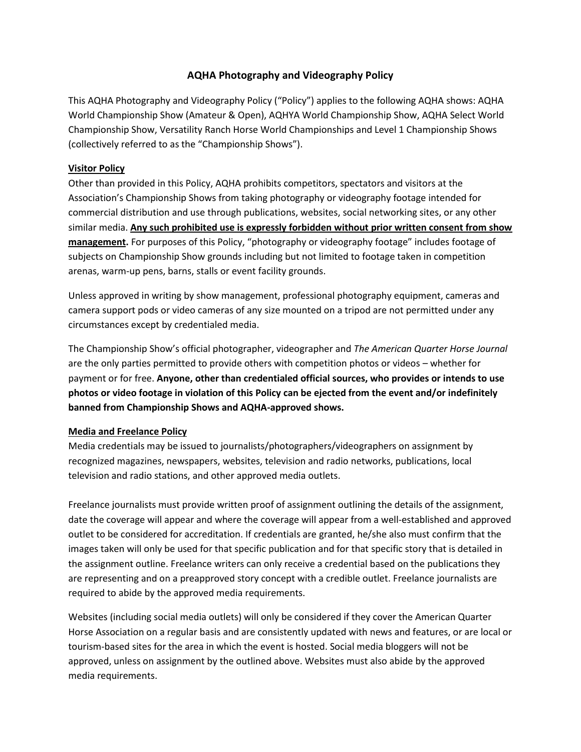## **AQHA Photography and Videography Policy**

This AQHA Photography and Videography Policy ("Policy") applies to the following AQHA shows: AQHA World Championship Show (Amateur & Open), AQHYA World Championship Show, AQHA Select World Championship Show, Versatility Ranch Horse World Championships and Level 1 Championship Shows (collectively referred to as the "Championship Shows").

### **Visitor Policy**

Other than provided in this Policy, AQHA prohibits competitors, spectators and visitors at the Association's Championship Shows from taking photography or videography footage intended for commercial distribution and use through publications, websites, social networking sites, or any other similar media. **Any such prohibited use is expressly forbidden without prior written consent from show management.** For purposes of this Policy, "photography or videography footage" includes footage of subjects on Championship Show grounds including but not limited to footage taken in competition arenas, warm-up pens, barns, stalls or event facility grounds.

Unless approved in writing by show management, professional photography equipment, cameras and camera support pods or video cameras of any size mounted on a tripod are not permitted under any circumstances except by credentialed media.

The Championship Show's official photographer, videographer and *The American Quarter Horse Journal* are the only parties permitted to provide others with competition photos or videos – whether for payment or for free. **Anyone, other than credentialed official sources, who provides or intends to use photos or video footage in violation of this Policy can be ejected from the event and/or indefinitely banned from Championship Shows and AQHA-approved shows.** 

#### **Media and Freelance Policy**

Media credentials may be issued to journalists/photographers/videographers on assignment by recognized magazines, newspapers, websites, television and radio networks, publications, local television and radio stations, and other approved media outlets.

Freelance journalists must provide written proof of assignment outlining the details of the assignment, date the coverage will appear and where the coverage will appear from a well-established and approved outlet to be considered for accreditation. If credentials are granted, he/she also must confirm that the images taken will only be used for that specific publication and for that specific story that is detailed in the assignment outline. Freelance writers can only receive a credential based on the publications they are representing and on a preapproved story concept with a credible outlet. Freelance journalists are required to abide by the approved media requirements.

Websites (including social media outlets) will only be considered if they cover the American Quarter Horse Association on a regular basis and are consistently updated with news and features, or are local or tourism-based sites for the area in which the event is hosted. Social media bloggers will not be approved, unless on assignment by the outlined above. Websites must also abide by the approved media requirements.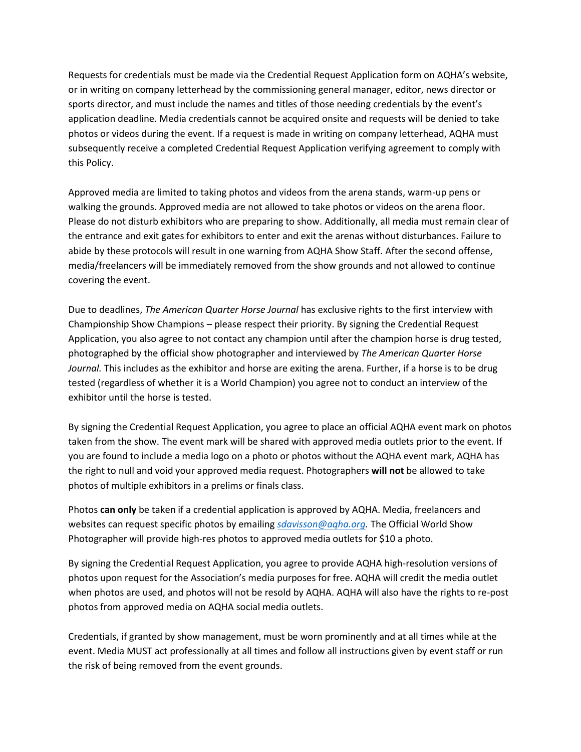Requests for credentials must be made via the Credential Request Application form on AQHA's website, or in writing on company letterhead by the commissioning general manager, editor, news director or sports director, and must include the names and titles of those needing credentials by the event's application deadline. Media credentials cannot be acquired onsite and requests will be denied to take photos or videos during the event. If a request is made in writing on company letterhead, AQHA must subsequently receive a completed Credential Request Application verifying agreement to comply with this Policy.

Approved media are limited to taking photos and videos from the arena stands, warm-up pens or walking the grounds. Approved media are not allowed to take photos or videos on the arena floor. Please do not disturb exhibitors who are preparing to show. Additionally, all media must remain clear of the entrance and exit gates for exhibitors to enter and exit the arenas without disturbances. Failure to abide by these protocols will result in one warning from AQHA Show Staff. After the second offense, media/freelancers will be immediately removed from the show grounds and not allowed to continue covering the event.

Due to deadlines, *The American Quarter Horse Journal* has exclusive rights to the first interview with Championship Show Champions – please respect their priority. By signing the Credential Request Application, you also agree to not contact any champion until after the champion horse is drug tested, photographed by the official show photographer and interviewed by *The American Quarter Horse Journal.* This includes as the exhibitor and horse are exiting the arena. Further, if a horse is to be drug tested (regardless of whether it is a World Champion) you agree not to conduct an interview of the exhibitor until the horse is tested.

By signing the Credential Request Application, you agree to place an official AQHA event mark on photos taken from the show. The event mark will be shared with approved media outlets prior to the event. If you are found to include a media logo on a photo or photos without the AQHA event mark, AQHA has the right to null and void your approved media request. Photographers **will not** be allowed to take photos of multiple exhibitors in a prelims or finals class.

Photos **can only** be taken if a credential application is approved by AQHA. Media, freelancers and websites can request specific photos by emailing *[sdavisson@aqha.org.](mailto:sdavisson@aqha.org)* The Official World Show Photographer will provide high-res photos to approved media outlets for \$10 a photo.

By signing the Credential Request Application, you agree to provide AQHA high-resolution versions of photos upon request for the Association's media purposes for free. AQHA will credit the media outlet when photos are used, and photos will not be resold by AQHA. AQHA will also have the rights to re-post photos from approved media on AQHA social media outlets.

Credentials, if granted by show management, must be worn prominently and at all times while at the event. Media MUST act professionally at all times and follow all instructions given by event staff or run the risk of being removed from the event grounds.